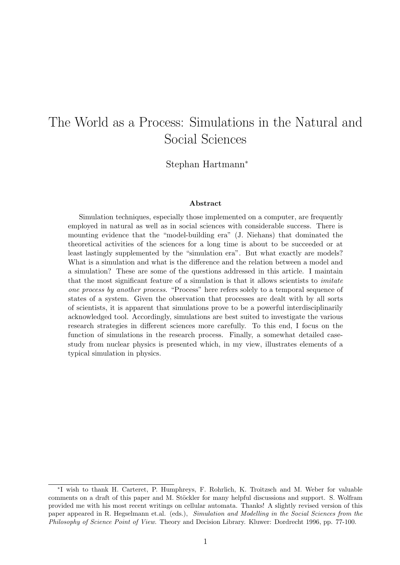# The World as a Process: Simulations in the Natural and Social Sciences

Stephan Hartmann<sup>∗</sup>

#### Abstract

Simulation techniques, especially those implemented on a computer, are frequently employed in natural as well as in social sciences with considerable success. There is mounting evidence that the "model-building era" (J. Niehans) that dominated the theoretical activities of the sciences for a long time is about to be succeeded or at least lastingly supplemented by the "simulation era". But what exactly are models? What is a simulation and what is the difference and the relation between a model and a simulation? These are some of the questions addressed in this article. I maintain that the most significant feature of a simulation is that it allows scientists to imitate one process by another process. "Process" here refers solely to a temporal sequence of states of a system. Given the observation that processes are dealt with by all sorts of scientists, it is apparent that simulations prove to be a powerful interdisciplinarily acknowledged tool. Accordingly, simulations are best suited to investigate the various research strategies in different sciences more carefully. To this end, I focus on the function of simulations in the research process. Finally, a somewhat detailed casestudy from nuclear physics is presented which, in my view, illustrates elements of a typical simulation in physics.

<sup>∗</sup> I wish to thank H. Carteret, P. Humphreys, F. Rohrlich, K. Troitzsch and M. Weber for valuable comments on a draft of this paper and M. Stöckler for many helpful discussions and support. S. Wolfram provided me with his most recent writings on cellular automata. Thanks! A slightly revised version of this paper appeared in R. Hegselmann et.al. (eds.), Simulation and Modelling in the Social Sciences from the Philosophy of Science Point of View. Theory and Decision Library. Kluwer: Dordrecht 1996, pp. 77-100.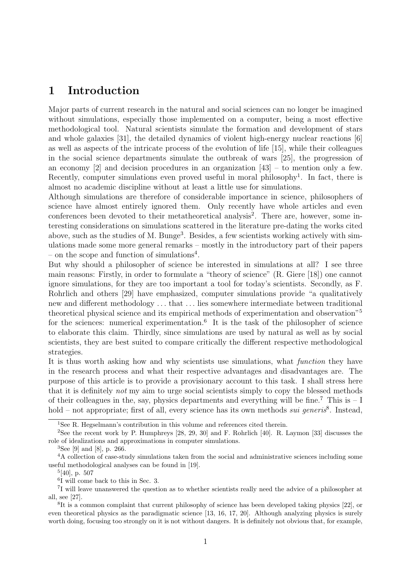# 1 Introduction

Major parts of current research in the natural and social sciences can no longer be imagined without simulations, especially those implemented on a computer, being a most effective methodological tool. Natural scientists simulate the formation and development of stars and whole galaxies [31], the detailed dynamics of violent high-energy nuclear reactions [6] as well as aspects of the intricate process of the evolution of life [15], while their colleagues in the social science departments simulate the outbreak of wars [25], the progression of an economy  $\lbrack 2\rbrack$  and decision procedures in an organization  $\lbrack 43\rbrack$  – to mention only a few. Recently, computer simulations even proved useful in moral philosophy<sup>1</sup>. In fact, there is almost no academic discipline without at least a little use for simulations.

Although simulations are therefore of considerable importance in science, philosophers of science have almost entirely ignored them. Only recently have whole articles and even conferences been devoted to their metatheoretical analysis<sup>2</sup>. There are, however, some interesting considerations on simulations scattered in the literature pre-dating the works cited above, such as the studies of M. Bunge<sup>3</sup>. Besides, a few scientists working actively with simulations made some more general remarks – mostly in the introductory part of their papers – on the scope and function of simulations<sup>4</sup>.

But why should a philosopher of science be interested in simulations at all? I see three main reasons: Firstly, in order to formulate a "theory of science" (R. Giere [18]) one cannot ignore simulations, for they are too important a tool for today's scientists. Secondly, as F. Rohrlich and others [29] have emphasized, computer simulations provide "a qualitatively new and different methodology . . . that . . . lies somewhere intermediate between traditional theoretical physical science and its empirical methods of experimentation and observation"<sup>5</sup> for the sciences: numerical experimentation.<sup>6</sup> It is the task of the philosopher of science to elaborate this claim. Thirdly, since simulations are used by natural as well as by social scientists, they are best suited to compare critically the different respective methodological strategies.

It is thus worth asking how and why scientists use simulations, what *function* they have in the research process and what their respective advantages and disadvantages are. The purpose of this article is to provide a provisionary account to this task. I shall stress here that it is definitely not my aim to urge social scientists simply to copy the blessed methods of their colleagues in the, say, physics departments and everything will be fine.<sup>7</sup> This is  $-$  I hold – not appropriate; first of all, every science has its own methods *sui generis*<sup>8</sup>. Instead,

<sup>&</sup>lt;sup>1</sup>See R. Hegselmann's contribution in this volume and references cited therein.

<sup>2</sup>See the recent work by P. Humphreys [28, 29, 30] and F. Rohrlich [40]. R. Laymon [33] discusses the role of idealizations and approximations in computer simulations.

 ${}^{3}$ See [9] and [8], p. 266.

<sup>&</sup>lt;sup>4</sup>A collection of case-study simulations taken from the social and administrative sciences including some useful methodological analyses can be found in [19].

<sup>5</sup> [40], p. 507

<sup>6</sup> I will come back to this in Sec. 3.

<sup>&</sup>lt;sup>7</sup>I will leave unanswered the question as to whether scientists really need the advice of a philosopher at all, see [27].

<sup>&</sup>lt;sup>8</sup>It is a common complaint that current philosophy of science has been developed taking physics [22], or even theoretical physics as the paradigmatic science [13, 16, 17, 20]. Although analyzing physics is surely worth doing, focusing too strongly on it is not without dangers. It is definitely not obvious that, for example,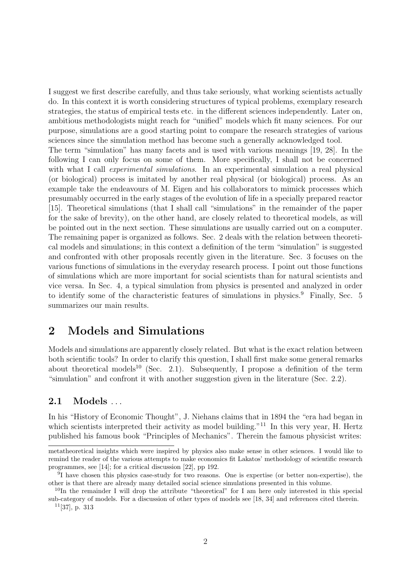I suggest we first describe carefully, and thus take seriously, what working scientists actually do. In this context it is worth considering structures of typical problems, exemplary research strategies, the status of empirical tests etc. in the different sciences independently. Later on, ambitious methodologists might reach for "unified" models which fit many sciences. For our purpose, simulations are a good starting point to compare the research strategies of various sciences since the simulation method has become such a generally acknowledged tool. The term "simulation" has many facets and is used with various meanings [19, 28]. In the following I can only focus on some of them. More specifically, I shall not be concerned with what I call *experimental simulations*. In an experimental simulation a real physical (or biological) process is imitated by another real physical (or biological) process. As an example take the endeavours of M. Eigen and his collaborators to mimick processes which presumably occurred in the early stages of the evolution of life in a specially prepared reactor [15]. Theoretical simulations (that I shall call "simulations" in the remainder of the paper for the sake of brevity), on the other hand, are closely related to theoretical models, as will be pointed out in the next section. These simulations are usually carried out on a computer. The remaining paper is organized as follows. Sec. 2 deals with the relation between theoretical models and simulations; in this context a definition of the term "simulation" is suggested and confronted with other proposals recently given in the literature. Sec. 3 focuses on the various functions of simulations in the everyday research process. I point out those functions of simulations which are more important for social scientists than for natural scientists and vice versa. In Sec. 4, a typical simulation from physics is presented and analyzed in order to identify some of the characteristic features of simulations in physics.<sup>9</sup> Finally, Sec. 5 summarizes our main results.

# 2 Models and Simulations

Models and simulations are apparently closely related. But what is the exact relation between both scientific tools? In order to clarify this question, I shall first make some general remarks about theoretical models<sup>10</sup> (Sec. 2.1). Subsequently, I propose a definition of the term "simulation" and confront it with another suggestion given in the literature (Sec. 2.2).

## 2.1 Models . . .

In his "History of Economic Thought", J. Niehans claims that in 1894 the "era had began in which scientists interpreted their activity as model building."<sup>11</sup> In this very year, H. Hertz published his famous book "Principles of Mechanics". Therein the famous physicist writes:

metatheoretical insights which were inspired by physics also make sense in other sciences. I would like to remind the reader of the various attempts to make economics fit Lakatos' methodology of scientific research programmes, see [14]; for a critical discussion [22], pp 192.

<sup>&</sup>lt;sup>9</sup>I have chosen this physics case-study for two reasons. One is expertise (or better non-expertise), the other is that there are already many detailed social science simulations presented in this volume.

 $10$ In the remainder I will drop the attribute "theoretical" for I am here only interested in this special sub-category of models. For a discussion of other types of models see [18, 34] and references cited therein.

 $11$ [37], p. 313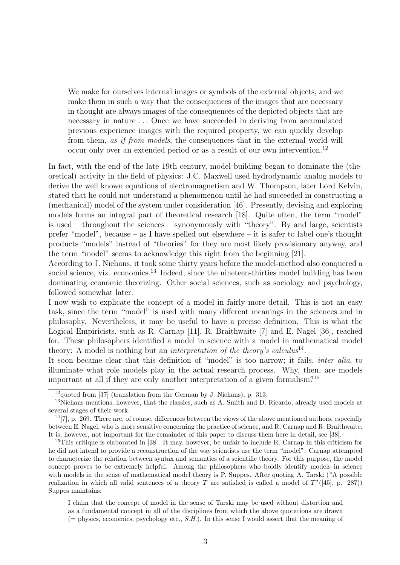We make for ourselves internal images or symbols of the external objects, and we make them in such a way that the consequences of the images that are necessary in thought are always images of the consequences of the depicted objects that are necessary in nature ... Once we have succeeded in deriving from accumulated previous experience images with the required property, we can quickly develop from them, as if from models, the consequences that in the external world will occur only over an extended period or as a result of our own intervention.<sup>12</sup>

In fact, with the end of the late 19th century, model building began to dominate the (theoretical) activity in the field of physics: J.C. Maxwell used hydrodynamic analog models to derive the well known equations of electromagnetism and W. Thompson, later Lord Kelvin, stated that he could not understand a phenomenon until he had succeeded in constructing a (mechanical) model of the system under consideration [46]. Presently, devising and exploring models forms an integral part of theoretical research [18]. Quite often, the term "model" is used – throughout the sciences – synonymously with "theory". By and large, scientists prefer "model", because – as I have spelled out elsewhere – it is safer to label one's thought products "models" instead of "theories" for they are most likely provisionary anyway, and the term "model" seems to acknowledge this right from the beginning [21].

According to J. Niehans, it took some thirty years before the model-method also conquered a social science, viz. economics.<sup>13</sup> Indeed, since the nineteen-thirties model building has been dominating economic theorizing. Other social sciences, such as sociology and psychology, followed somewhat later.

I now wish to explicate the concept of a model in fairly more detail. This is not an easy task, since the term "model" is used with many different meanings in the sciences and in philosophy. Nevertheless, it may be useful to have a precise definition. This is what the Logical Empiricists, such as R. Carnap [11], R. Braithwaite [7] and E. Nagel [36], reached for. These philosophers identified a model in science with a model in mathematical model theory: A model is nothing but an *interpretation of the theory's calculus*<sup>14</sup>.

It soon became clear that this definition of "model" is too narrow; it fails, inter alia, to illuminate what role models play in the actual research process. Why, then, are models important at all if they are only another interpretation of a given formalism?<sup>15</sup>

<sup>15</sup>This critique is elaborated in [38]. It may, however, be unfair to include R. Carnap in this criticism for he did not intend to provide a reconstruction of the way scientists use the term "model". Carnap attempted to characterize the relation between syntax and semantics of a scientific theory. For this purpose, the model concept proves to be extremely helpful. Among the philosophers who boldly identify models in science with models in the sense of mathematical model theory is P. Suppes. After quoting A. Tarski ("A possible realization in which all valid sentences of a theory T are satisfied is called a model of  $T''([45], p. 287)$ Suppes maintains:

I claim that the concept of model in the sense of Tarski may be used without distortion and as a fundamental concept in all of the disciplines from which the above quotations are drawn  $(=$  physics, economics, psychology etc.,  $S.H.$ ). In this sense I would assert that the meaning of

 $12$ quoted from [37] (translation from the German by J. Niehans), p. 313.

<sup>&</sup>lt;sup>13</sup>Niehans mentions, however, that the classics, such as A. Smith and D. Ricardo, already used models at several stages of their work.

 $14$ [7], p. 269. There are, of course, differences between the views of the above mentioned authors, especially between E. Nagel, who is more sensitive concerning the practice of science, and R. Carnap and R. Braithwaite. It is, however, not important for the remainder of this paper to discuss them here in detail, see [38].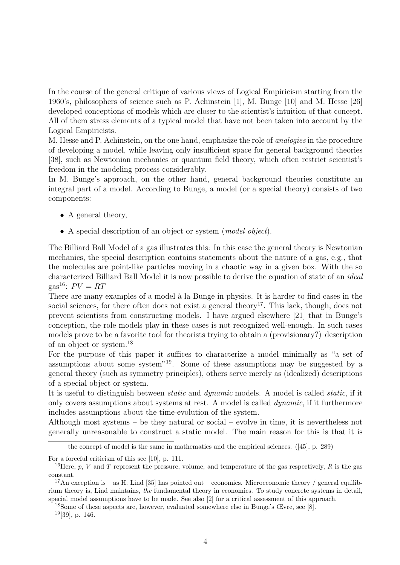In the course of the general critique of various views of Logical Empiricism starting from the 1960's, philosophers of science such as P. Achinstein [1], M. Bunge [10] and M. Hesse [26] developed conceptions of models which are closer to the scientist's intuition of that concept. All of them stress elements of a typical model that have not been taken into account by the Logical Empiricists.

M. Hesse and P. Achinstein, on the one hand, emphasize the role of analogies in the procedure of developing a model, while leaving only insufficient space for general background theories [38], such as Newtonian mechanics or quantum field theory, which often restrict scientist's freedom in the modeling process considerably.

In M. Bunge's approach, on the other hand, general background theories constitute an integral part of a model. According to Bunge, a model (or a special theory) consists of two components:

- A general theory,
- A special description of an object or system (*model object*).

The Billiard Ball Model of a gas illustrates this: In this case the general theory is Newtonian mechanics, the special description contains statements about the nature of a gas, e.g., that the molecules are point-like particles moving in a chaotic way in a given box. With the so characterized Billiard Ball Model it is now possible to derive the equation of state of an ideal gas<sup>16</sup>:  $PV = RT$ 

There are many examples of a model à la Bunge in physics. It is harder to find cases in the social sciences, for there often does not exist a general theory<sup>17</sup>. This lack, though, does not prevent scientists from constructing models. I have argued elsewhere [21] that in Bunge's conception, the role models play in these cases is not recognized well-enough. In such cases models prove to be a favorite tool for theorists trying to obtain a (provisionary?) description of an object or system.<sup>18</sup>

For the purpose of this paper it suffices to characterize a model minimally as "a set of assumptions about some system"<sup>19</sup>. Some of these assumptions may be suggested by a general theory (such as symmetry principles), others serve merely as (idealized) descriptions of a special object or system.

It is useful to distinguish between static and dynamic models. A model is called static, if it only covers assumptions about systems at rest. A model is called dynamic, if it furthermore includes assumptions about the time-evolution of the system.

Although most systems – be they natural or social – evolve in time, it is nevertheless not generally unreasonable to construct a static model. The main reason for this is that it is

the concept of model is the same in mathematics and the empirical sciences. ([45], p. 289)

For a forceful criticism of this see [10], p. 111.

<sup>19</sup>[39], p. 146.

<sup>&</sup>lt;sup>16</sup>Here, p, V and T represent the pressure, volume, and temperature of the gas respectively, R is the gas constant.

<sup>&</sup>lt;sup>17</sup>An exception is – as H. Lind [35] has pointed out – economics. Microeconomic theory / general equilibrium theory is, Lind maintains, the fundamental theory in economics. To study concrete systems in detail, special model assumptions have to be made. See also [2] for a critical assessment of this approach.

<sup>18</sup>Some of these aspects are, however, evaluated somewhere else in Bunge's Œvre, see [8].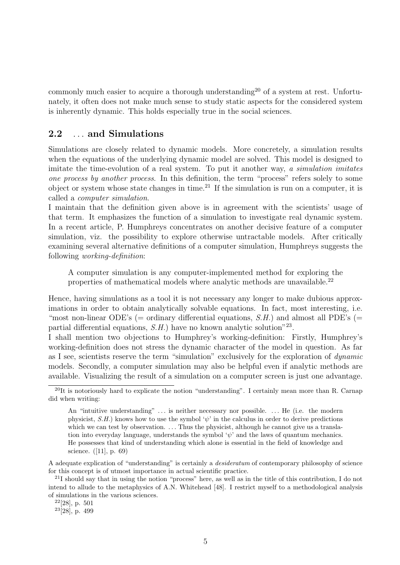commonly much easier to acquire a thorough understanding<sup>20</sup> of a system at rest. Unfortunately, it often does not make much sense to study static aspects for the considered system is inherently dynamic. This holds especially true in the social sciences.

## 2.2 ... and Simulations

Simulations are closely related to dynamic models. More concretely, a simulation results when the equations of the underlying dynamic model are solved. This model is designed to imitate the time-evolution of a real system. To put it another way, a simulation imitates one process by another process. In this definition, the term "process" refers solely to some object or system whose state changes in time.<sup>21</sup> If the simulation is run on a computer, it is called a computer simulation.

I maintain that the definition given above is in agreement with the scientists' usage of that term. It emphasizes the function of a simulation to investigate real dynamic system. In a recent article, P. Humphreys concentrates on another decisive feature of a computer simulation, viz. the possibility to explore otherwise untractable models. After critically examining several alternative definitions of a computer simulation, Humphreys suggests the following working-definition:

A computer simulation is any computer-implemented method for exploring the properties of mathematical models where analytic methods are unavailable.<sup>22</sup>

Hence, having simulations as a tool it is not necessary any longer to make dubious approximations in order to obtain analytically solvable equations. In fact, most interesting, i.e. "most non-linear ODE's (= ordinary differential equations,  $S.H.$ ) and almost all PDE's (= partial differential equations,  $S.H.$ ) have no known analytic solution<sup>"23</sup>.

I shall mention two objections to Humphrey's working-definition: Firstly, Humphrey's working-definition does not stress the dynamic character of the model in question. As far as I see, scientists reserve the term "simulation" exclusively for the exploration of dynamic models. Secondly, a computer simulation may also be helpful even if analytic methods are available. Visualizing the result of a simulation on a computer screen is just one advantage.

A adequate explication of "understanding" is certainly a desideratum of contemporary philosophy of science for this concept is of utmost importance in actual scientific practice.

<sup>21</sup>I should say that in using the notion "process" here, as well as in the title of this contribution, I do not intend to allude to the metaphysics of A.N. Whitehead [48]. I restrict myself to a methodological analysis of simulations in the various sciences.

 $22$ [28], p. 501

 $23$ [28], p. 499

 $^{20}$ It is notoriously hard to explicate the notion "understanding". I certainly mean more than R. Carnap did when writing:

An "intuitive understanding" ... is neither necessary nor possible. ... He (i.e. the modern physicist, S.H.) knows how to use the symbol ' $\psi$ ' in the calculus in order to derive predictions which we can test by observation. ... Thus the physicist, although he cannot give us a translation into everyday language, understands the symbol  $\psi$  and the laws of quantum mechanics. He possesses that kind of understanding which alone is essential in the field of knowledge and science. ([11], p. 69)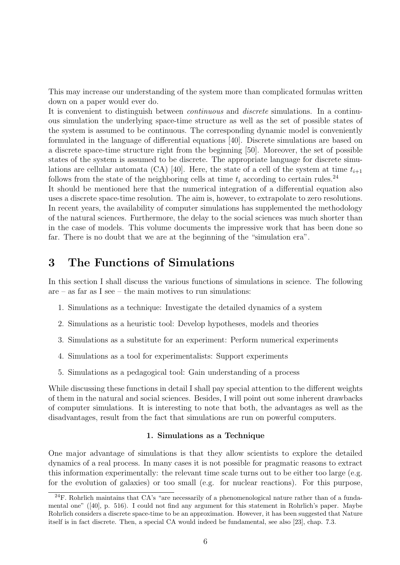This may increase our understanding of the system more than complicated formulas written down on a paper would ever do.

It is convenient to distinguish between continuous and discrete simulations. In a continuous simulation the underlying space-time structure as well as the set of possible states of the system is assumed to be continuous. The corresponding dynamic model is conveniently formulated in the language of differential equations [40]. Discrete simulations are based on a discrete space-time structure right from the beginning [50]. Moreover, the set of possible states of the system is assumed to be discrete. The appropriate language for discrete simulations are cellular automata (CA) [40]. Here, the state of a cell of the system at time  $t_{i+1}$ follows from the state of the neighboring cells at time  $t_i$  according to certain rules.<sup>24</sup>

It should be mentioned here that the numerical integration of a differential equation also uses a discrete space-time resolution. The aim is, however, to extrapolate to zero resolutions. In recent years, the availability of computer simulations has supplemented the methodology of the natural sciences. Furthermore, the delay to the social sciences was much shorter than in the case of models. This volume documents the impressive work that has been done so far. There is no doubt that we are at the beginning of the "simulation era".

# 3 The Functions of Simulations

In this section I shall discuss the various functions of simulations in science. The following are – as far as I see – the main motives to run simulations:

- 1. Simulations as a technique: Investigate the detailed dynamics of a system
- 2. Simulations as a heuristic tool: Develop hypotheses, models and theories
- 3. Simulations as a substitute for an experiment: Perform numerical experiments
- 4. Simulations as a tool for experimentalists: Support experiments
- 5. Simulations as a pedagogical tool: Gain understanding of a process

While discussing these functions in detail I shall pay special attention to the different weights of them in the natural and social sciences. Besides, I will point out some inherent drawbacks of computer simulations. It is interesting to note that both, the advantages as well as the disadvantages, result from the fact that simulations are run on powerful computers.

#### 1. Simulations as a Technique

One major advantage of simulations is that they allow scientists to explore the detailed dynamics of a real process. In many cases it is not possible for pragmatic reasons to extract this information experimentally: the relevant time scale turns out to be either too large (e.g. for the evolution of galaxies) or too small (e.g. for nuclear reactions). For this purpose,

<sup>&</sup>lt;sup>24</sup>F. Rohrlich maintains that CA's "are necessarily of a phenomenological nature rather than of a fundamental one" ([40], p. 516). I could not find any argument for this statement in Rohrlich's paper. Maybe Rohrlich considers a discrete space-time to be an approximation. However, it has been suggested that Nature itself is in fact discrete. Then, a special CA would indeed be fundamental, see also [23], chap. 7.3.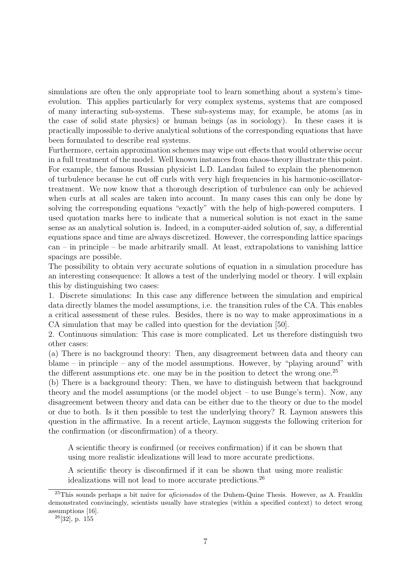simulations are often the only appropriate tool to learn something about a system's timeevolution. This applies particularly for very complex systems, systems that are composed of many interacting sub-systems. These sub-systems may, for example, be atoms (as in the case of solid state physics) or human beings (as in sociology). In these cases it is practically impossible to derive analytical solutions of the corresponding equations that have been formulated to describe real systems.

Furthermore, certain approximation schemes may wipe out effects that would otherwise occur in a full treatment of the model. Well known instances from chaos-theory illustrate this point. For example, the famous Russian physicist L.D. Landau failed to explain the phenomenon of turbulence because he cut off curls with very high frequencies in his harmonic-oscillatortreatment. We now know that a thorough description of turbulence can only be achieved when curls at all scales are taken into account. In many cases this can only be done by solving the corresponding equations "exactly" with the help of high-powered computers. I used quotation marks here to indicate that a numerical solution is not exact in the same sense as an analytical solution is. Indeed, in a computer-aided solution of, say, a differential equations space and time are always discretized. However, the corresponding lattice spacings  $can$  – in principle – be made arbitrarily small. At least, extrapolations to vanishing lattice spacings are possible.

The possibility to obtain very accurate solutions of equation in a simulation procedure has an interesting consequence: It allows a test of the underlying model or theory. I will explain this by distinguishing two cases:

1. Discrete simulations: In this case any difference between the simulation and empirical data directly blames the model assumptions, i.e. the transition rules of the CA. This enables a critical assessment of these rules. Besides, there is no way to make approximations in a CA simulation that may be called into question for the deviation [50].

2. Continuous simulation: This case is more complicated. Let us therefore distinguish two other cases:

(a) There is no background theory: Then, any disagreement between data and theory can  $blame - in principle - any of the model assumptions. However, by "playing around" with$ the different assumptions etc. one may be in the position to detect the wrong one.<sup>25</sup>

(b) There is a background theory: Then, we have to distinguish between that background theory and the model assumptions (or the model object – to use Bunge's term). Now, any disagreement between theory and data can be either due to the theory or due to the model or due to both. Is it then possible to test the underlying theory? R. Laymon answers this question in the affirmative. In a recent article, Laymon suggests the following criterion for the confirmation (or disconfirmation) of a theory.

A scientific theory is confirmed (or receives confirmation) if it can be shown that using more realistic idealizations will lead to more accurate predictions.

A scientific theory is disconfirmed if it can be shown that using more realistic idealizations will not lead to more accurate predictions.<sup>26</sup>

 $^{25}$ This sounds perhaps a bit naive for *aficionados* of the Duhem-Quine Thesis. However, as A. Franklin demonstrated convincingly, scientists usually have strategies (within a specified context) to detect wrong assumptions [16].

<sup>26</sup>[32], p. 155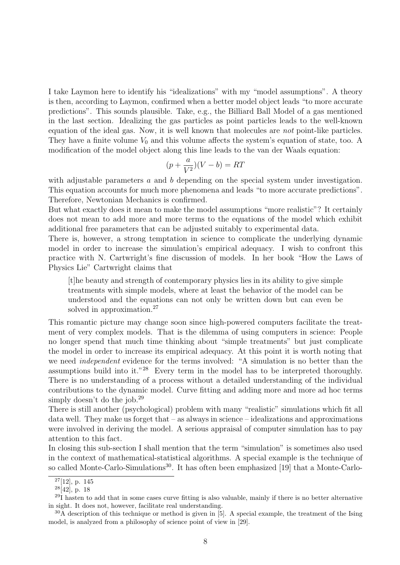I take Laymon here to identify his "idealizations" with my "model assumptions". A theory is then, according to Laymon, confirmed when a better model object leads "to more accurate predictions". This sounds plausible. Take, e.g., the Billiard Ball Model of a gas mentioned in the last section. Idealizing the gas particles as point particles leads to the well-known equation of the ideal gas. Now, it is well known that molecules are not point-like particles. They have a finite volume  $V_0$  and this volume affects the system's equation of state, too. A modification of the model object along this line leads to the van der Waals equation:

$$
(p + \frac{a}{V^2})(V - b) = RT
$$

with adjustable parameters a and b depending on the special system under investigation. This equation accounts for much more phenomena and leads "to more accurate predictions". Therefore, Newtonian Mechanics is confirmed.

But what exactly does it mean to make the model assumptions "more realistic"? It certainly does not mean to add more and more terms to the equations of the model which exhibit additional free parameters that can be adjusted suitably to experimental data.

There is, however, a strong temptation in science to complicate the underlying dynamic model in order to increase the simulation's empirical adequacy. I wish to confront this practice with N. Cartwright's fine discussion of models. In her book "How the Laws of Physics Lie" Cartwright claims that

[t]he beauty and strength of contemporary physics lies in its ability to give simple treatments with simple models, where at least the behavior of the model can be understood and the equations can not only be written down but can even be solved in approximation.<sup>27</sup>

This romantic picture may change soon since high-powered computers facilitate the treatment of very complex models. That is the dilemma of using computers in science: People no longer spend that much time thinking about "simple treatments" but just complicate the model in order to increase its empirical adequacy. At this point it is worth noting that we need independent evidence for the terms involved: "A simulation is no better than the assumptions build into it."<sup>28</sup> Every term in the model has to be interpreted thoroughly. There is no understanding of a process without a detailed understanding of the individual contributions to the dynamic model. Curve fitting and adding more and more ad hoc terms simply doesn't do the job.<sup>29</sup>

There is still another (psychological) problem with many "realistic" simulations which fit all data well. They make us forget that  $-$  as always in science  $-$  idealizations and approximations were involved in deriving the model. A serious appraisal of computer simulation has to pay attention to this fact.

In closing this sub-section I shall mention that the term "simulation" is sometimes also used in the context of mathematical-statistical algorithms. A special example is the technique of so called Monte-Carlo-Simulations<sup>30</sup>. It has often been emphasized [19] that a Monte-Carlo-

 $27[12]$ , p. 145

 $28[42]$ , p. 18

<sup>&</sup>lt;sup>29</sup>I hasten to add that in some cases curve fitting is also valuable, mainly if there is no better alternative in sight. It does not, however, facilitate real understanding.

 $30A$  description of this technique or method is given in [5]. A special example, the treatment of the Ising model, is analyzed from a philosophy of science point of view in [29].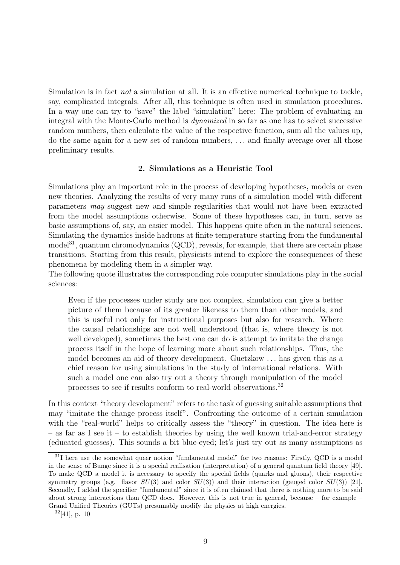Simulation is in fact not a simulation at all. It is an effective numerical technique to tackle, say, complicated integrals. After all, this technique is often used in simulation procedures. In a way one can try to "save" the label "simulation" here: The problem of evaluating an integral with the Monte-Carlo method is dynamized in so far as one has to select successive random numbers, then calculate the value of the respective function, sum all the values up, do the same again for a new set of random numbers, . . . and finally average over all those preliminary results.

### 2. Simulations as a Heuristic Tool

Simulations play an important role in the process of developing hypotheses, models or even new theories. Analyzing the results of very many runs of a simulation model with different parameters may suggest new and simple regularities that would not have been extracted from the model assumptions otherwise. Some of these hypotheses can, in turn, serve as basic assumptions of, say, an easier model. This happens quite often in the natural sciences. Simulating the dynamics inside hadrons at finite temperature starting from the fundamental  ${\rm model}^{31}$ , quantum chromodynamics (QCD), reveals, for example, that there are certain phase transitions. Starting from this result, physicists intend to explore the consequences of these phenomena by modeling them in a simpler way.

The following quote illustrates the corresponding role computer simulations play in the social sciences:

Even if the processes under study are not complex, simulation can give a better picture of them because of its greater likeness to them than other models, and this is useful not only for instructional purposes but also for research. Where the causal relationships are not well understood (that is, where theory is not well developed), sometimes the best one can do is attempt to imitate the change process itself in the hope of learning more about such relationships. Thus, the model becomes an aid of theory development. Guetzkow . . . has given this as a chief reason for using simulations in the study of international relations. With such a model one can also try out a theory through manipulation of the model processes to see if results conform to real-world observations.<sup>32</sup>

In this context "theory development" refers to the task of guessing suitable assumptions that may "imitate the change process itself". Confronting the outcome of a certain simulation with the "real-world" helps to critically assess the "theory" in question. The idea here is  $-$  as far as I see it  $-$  to establish theories by using the well known trial-and-error strategy (educated guesses). This sounds a bit blue-eyed; let's just try out as many assumptions as

 $32[41]$ , p. 10

<sup>&</sup>lt;sup>31</sup>I here use the somewhat queer notion "fundamental model" for two reasons: Firstly, OCD is a model in the sense of Bunge since it is a special realisation (interpretation) of a general quantum field theory [49]. To make QCD a model it is necessary to specify the special fields (quarks and gluons), their respective symmetry groups (e.g. flavor  $SU(3)$ ) and color  $SU(3)$ ) and their interaction (gauged color  $SU(3)$ ) [21]. Secondly, I added the specifier "fundamental" since it is often claimed that there is nothing more to be said about strong interactions than QCD does. However, this is not true in general, because – for example – Grand Unified Theories (GUTs) presumably modify the physics at high energies.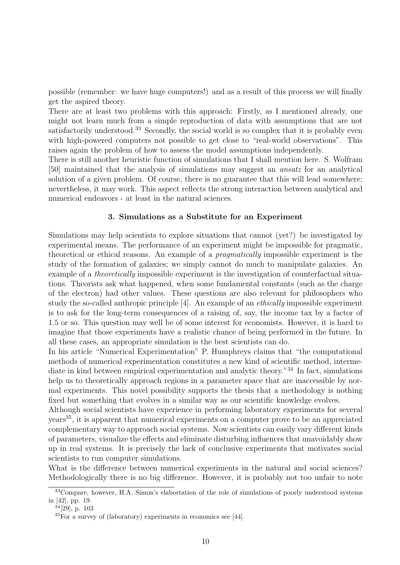possible (remember: we have huge computers!) and as a result of this process we will finally get the aspired theory.

There are at least two problems with this approach: Firstly, as I mentioned already, one might not learn much from a simple reproduction of data with assumptions that are not satisfactorily understood.<sup>33</sup> Secondly, the social world is so complex that it is probably even with high-powered computers not possible to get close to "real-world observations". This raises again the problem of how to assess the model assumptions independently.

There is still another heuristic function of simulations that I shall mention here. S. Wolfram [50] maintained that the analysis of simulations may suggest an ansatz for an analytical solution of a given problem. Of course, there is no guarantee that this will lead somewhere; nevertheless, it may work. This aspect reflects the strong interaction between analytical and numerical endeavors - at least in the natural sciences.

#### 3. Simulations as a Substitute for an Experiment

Simulations may help scientists to explore situations that cannot (yet?) be investigated by experimental means. The performance of an experiment might be impossible for pragmatic, theoretical or ethical reasons. An example of a pragmatically impossible experiment is the study of the formation of galaxies; we simply cannot do much to manipulate galaxies. An example of a theoretically impossible experiment is the investigation of counterfactual situations. Theorists ask what happened, when some fundamental constants (such as the charge of the electron) had other values. These questions are also relevant for philosophers who study the so-called anthropic principle [4]. An example of an ethically impossible experiment is to ask for the long-term consequences of a raising of, say, the income tax by a factor of 1.5 or so. This question may well be of some interest for economists. However, it is hard to imagine that those experiments have a realistic chance of being performed in the future. In all these cases, an appropriate simulation is the best scientists can do.

In his article "Numerical Experimentation" P. Humphreys claims that "the computational methods of numerical experimentation constitutes a new kind of scientific method, intermediate in kind between empirical experimentation and analytic theory."<sup>34</sup> In fact, simulations help us to theoretically approach regions in a parameter space that are inaccessible by normal experiments. This novel possibility supports the thesis that a methodology is nothing fixed but something that evolves in a similar way as our scientific knowledge evolves.

Although social scientists have experience in performing laboratory experiments for several years<sup>35</sup>, it is apparent that numerical experiments on a computer prove to be an appreciated complementary way to approach social systems. Now scientists can easily vary different kinds of parameters, visualize the effects and eliminate disturbing influences that unavoidably show up in real systems. It is precisely the lack of conclusive experiments that motivates social scientists to run computer simulations.

What is the difference between numerical experiments in the natural and social sciences? Methodologically there is no big difference. However, it is probably not too unfair to note

<sup>&</sup>lt;sup>33</sup>Compare, however, H.A. Simon's elabortation of the role of simulations of poorly understood systems in [42], pp. 19.

 $34[29]$ , p. 103

 ${}^{35}$  For a survey of (laboratory) experiments in economics see [44].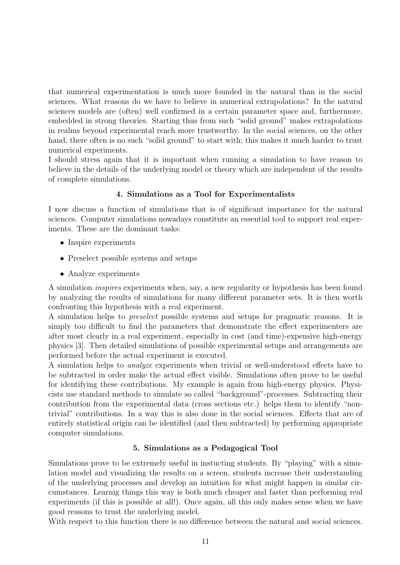that numerical experimentation is much more founded in the natural than in the social sciences. What reasons do we have to believe in numerical extrapolations? In the natural sciences models are (often) well confirmed in a certain parameter space and, furthermore, embedded in strong theories. Starting thus from such "solid ground" makes extrapolations in realms beyond experimental reach more trustworthy. In the social sciences, on the other hand, there often is no such "solid ground" to start with; this makes it much harder to trust numerical experiments.

I should stress again that it is important when running a simulation to have reason to believe in the details of the underlying model or theory which are independent of the results of complete simulations.

## 4. Simulations as a Tool for Experimentalists

I now discuss a function of simulations that is of significant importance for the natural sciences. Computer simulations nowadays constitute an essential tool to support real experiments. These are the dominant tasks:

- Inspire experiments
- Preselect possible systems and setups
- Analyze experiments

A simulation inspires experiments when, say, a new regularity or hypothesis has been found by analyzing the results of simulations for many different parameter sets. It is then worth confronting this hypothesis with a real experiment.

A simulation helps to preselect possible systems and setups for pragmatic reasons. It is simply too difficult to find the parameters that demonstrate the effect experimenters are after most clearly in a real experiment, especially in cost (and time)-expensive high-energy physics [3]. Then detailed simulations of possible experimental setups and arrangements are performed before the actual experiment is executed.

A simulation helps to analyze experiments when trivial or well-understood effects have to be subtracted in order make the actual effect visible. Simulations often prove to be useful for identifying these contributions. My example is again from high-energy physics. Physicists use standard methods to simulate so called "background"-processes. Subtracting their contribution from the experimental data (cross sections etc.) helps them to identify "nontrivial" contributions. In a way this is also done in the social sciences. Effects that are of entirely statistical origin can be identified (and then subtracted) by performing appropriate computer simulations.

## 5. Simulations as a Pedagogical Tool

Simulations prove to be extremely useful in instucting students. By "playing" with a simulation model and visualizing the results on a screen, students increase their understanding of the underlying processes and develop an intuition for what might happen in similar circumstances. Learnig things this way is both much cheaper and faster than performing real experiments (if this is possible at all!). Once again, all this only makes sense when we have good reasons to trust the underlying model.

With respect to this function there is no difference between the natural and social sciences.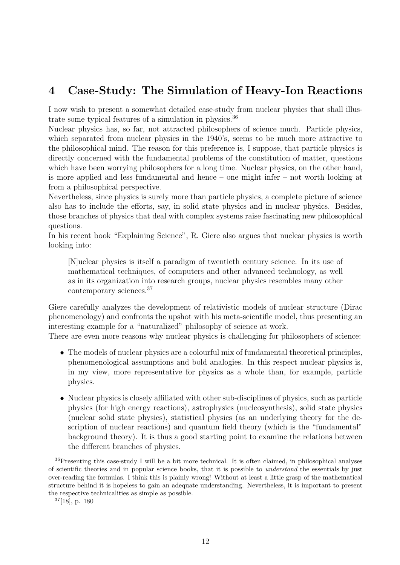# 4 Case-Study: The Simulation of Heavy-Ion Reactions

I now wish to present a somewhat detailed case-study from nuclear physics that shall illustrate some typical features of a simulation in physics.<sup>36</sup>

Nuclear physics has, so far, not attracted philosophers of science much. Particle physics, which separated from nuclear physics in the 1940's, seems to be much more attractive to the philosophical mind. The reason for this preference is, I suppose, that particle physics is directly concerned with the fundamental problems of the constitution of matter, questions which have been worrying philosophers for a long time. Nuclear physics, on the other hand, is more applied and less fundamental and hence – one might infer – not worth looking at from a philosophical perspective.

Nevertheless, since physics is surely more than particle physics, a complete picture of science also has to include the efforts, say, in solid state physics and in nuclear physics. Besides, those branches of physics that deal with complex systems raise fascinating new philosophical questions.

In his recent book "Explaining Science", R. Giere also argues that nuclear physics is worth looking into:

[N]uclear physics is itself a paradigm of twentieth century science. In its use of mathematical techniques, of computers and other advanced technology, as well as in its organization into research groups, nuclear physics resembles many other contemporary sciences.<sup>37</sup>

Giere carefully analyzes the development of relativistic models of nuclear structure (Dirac phenomenology) and confronts the upshot with his meta-scientific model, thus presenting an interesting example for a "naturalized" philosophy of science at work.

There are even more reasons why nuclear physics is challenging for philosophers of science:

- The models of nuclear physics are a colourful mix of fundamental theoretical principles, phenomenological assumptions and bold analogies. In this respect nuclear physics is, in my view, more representative for physics as a whole than, for example, particle physics.
- Nuclear physics is closely affiliated with other sub-disciplines of physics, such as particle physics (for high energy reactions), astrophysics (nucleosynthesis), solid state physics (nuclear solid state physics), statistical physics (as an underlying theory for the description of nuclear reactions) and quantum field theory (which is the "fundamental" background theory). It is thus a good starting point to examine the relations between the different branches of physics.

<sup>36</sup>Presenting this case-study I will be a bit more technical. It is often claimed, in philosophical analyses of scientific theories and in popular science books, that it is possible to understand the essentials by just over-reading the formulas. I think this is plainly wrong! Without at least a little grasp of the mathematical structure behind it is hopeless to gain an adequate understanding. Nevertheless, it is important to present the respective technicalities as simple as possible.

 $37[18]$ , p. 180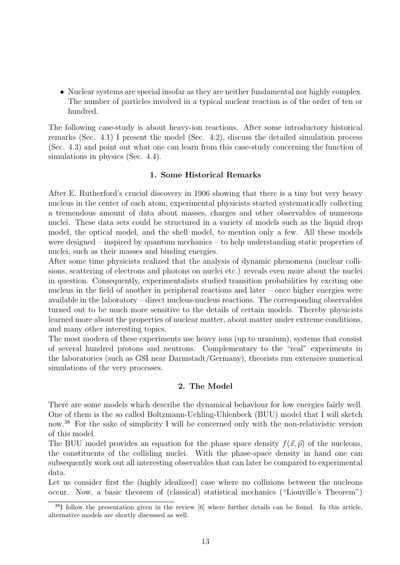• Nuclear systems are special insofar as they are neither fundamental nor highly complex. The number of particles involved in a typical nuclear reaction is of the order of ten or hundred.

The following case-study is about heavy-ion reactions. After some introductory historical remarks (Sec. 4.1) I present the model (Sec. 4.2), discuss the detailed simulation process (Sec. 4.3) and point out what one can learn from this case-study concerning the function of simulations in physics (Sec. 4.4).

#### 1. Some Historical Remarks

After E. Rutherford's crucial discovery in 1906 showing that there is a tiny but very heavy nucleus in the center of each atom, experimental physicists started systematically collecting a tremendous amount of data about masses, charges and other observables of numerous nuclei. These data sets could be structured in a variety of models such as the liquid drop model, the optical model, and the shell model, to mention only a few. All these models were designed – inspired by quantum mechanics – to help understanding static properties of nuclei, such as their masses and binding energies.

After some time physicists realized that the analysis of dynamic phenomena (nuclear collisions, scattering of electrons and photons on nuclei etc.) reveals even more about the nuclei in question. Consequently, experimentalists studied transition probabilities by exciting one nucleus in the field of another in peripheral reactions and later – once higher energies were available in the laboratory – direct nucleus-nucleus reactions. The corresponding observables turned out to be much more sensitive to the details of certain models. Thereby physicists learned more about the properties of nuclear matter, about matter under extreme conditions, and many other interesting topics.

The most modern of these experiments use heavy ions (up to uranium), systems that consist of several hundred protons and neutrons. Complementary to the "real" experiments in the laboratories (such as GSI near Darmstadt/Germany), theorists run extensive numerical simulations of the very processes.

### 2. The Model

There are some models which describe the dynamical behaviour for low energies fairly well. One of them is the so called Boltzmann-Uehling-Uhlenbeck (BUU) model that I will sketch now.<sup>38</sup> For the sake of simplicity I will be concerned only with the non-relativistic version of this model.

The BUU model provides an equation for the phase space density  $f(\vec{x}, \vec{p})$  of the nucleons, the constituents of the colliding nuclei. With the phase-space density in hand one can subsequently work out all interesting observables that can later be compared to experimental data.

Let us consider first the (highly idealized) case where no collisions between the nucleons occur. Now, a basic theorem of (classical) statistical mechanics ("Liouville's Theorem")

<sup>38</sup>I follow the presentation given in the review [6] where further details can be found. In this article, alternative models are shortly discussed as well.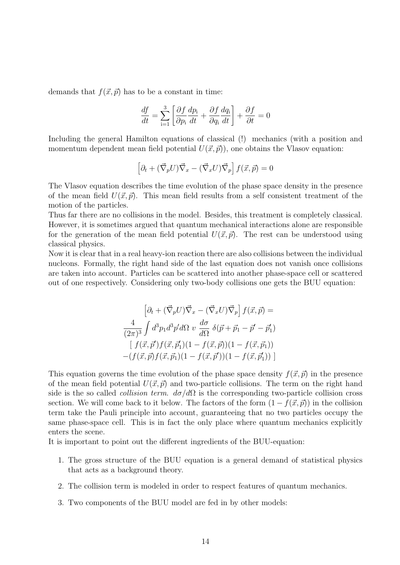demands that  $f(\vec{x}, \vec{p})$  has to be a constant in time:

$$
\frac{df}{dt} = \sum_{i=1}^{3} \left[ \frac{\partial f}{\partial p_i} \frac{dp_i}{dt} + \frac{\partial f}{\partial q_i} \frac{dq_i}{dt} \right] + \frac{\partial f}{\partial t} = 0
$$

Including the general Hamilton equations of classical (!) mechanics (with a position and momentum dependent mean field potential  $U(\vec{x}, \vec{p})$ , one obtains the Vlasov equation:

$$
\left[\partial_t + (\vec{\nabla}_p U)\vec{\nabla}_x - (\vec{\nabla}_x U)\vec{\nabla}_p\right]f(\vec{x}, \vec{p}) = 0
$$

The Vlasov equation describes the time evolution of the phase space density in the presence of the mean field  $U(\vec{x}, \vec{p})$ . This mean field results from a self consistent treatment of the motion of the particles.

Thus far there are no collisions in the model. Besides, this treatment is completely classical. However, it is sometimes argued that quantum mechanical interactions alone are responsible for the generation of the mean field potential  $U(\vec{x}, \vec{p})$ . The rest can be understood using classical physics.

Now it is clear that in a real heavy-ion reaction there are also collisions between the individual nucleons. Formally, the right hand side of the last equation does not vanish once collisions are taken into account. Particles can be scattered into another phase-space cell or scattered out of one respectively. Considering only two-body collisions one gets the BUU equation:

$$
\left[\partial_t + (\vec{\nabla}_p U)\vec{\nabla}_x - (\vec{\nabla}_x U)\vec{\nabla}_p\right]f(\vec{x}, \vec{p}) =
$$

$$
\frac{4}{(2\pi)^3} \int d^3p_1 d^3p' d\Omega \ v \frac{d\sigma}{d\Omega} \ \delta(\vec{p} + \vec{p}_1 - \vec{p}' - \vec{p}'_1)
$$

$$
\left[f(\vec{x}, \vec{p}')f(\vec{x}, \vec{p}'_1)(1 - f(\vec{x}, \vec{p})) (1 - f(\vec{x}, \vec{p}_1))\right]
$$

$$
-(f(\vec{x}, \vec{p})f(\vec{x}, \vec{p}_1)(1 - f(\vec{x}, \vec{p}')) (1 - f(\vec{x}, \vec{p}'_1)) )
$$

This equation governs the time evolution of the phase space density  $f(\vec{x}, \vec{p})$  in the presence of the mean field potential  $U(\vec{x}, \vec{p})$  and two-particle collisions. The term on the right hand side is the so called *collision term.*  $d\sigma/d\Omega$  is the corresponding two-particle collision cross section. We will come back to it below. The factors of the form  $(1 - f(\vec{x}, \vec{p}))$  in the collision term take the Pauli principle into account, guaranteeing that no two particles occupy the same phase-space cell. This is in fact the only place where quantum mechanics explicitly enters the scene.

It is important to point out the different ingredients of the BUU-equation:

- 1. The gross structure of the BUU equation is a general demand of statistical physics that acts as a background theory.
- 2. The collision term is modeled in order to respect features of quantum mechanics.
- 3. Two components of the BUU model are fed in by other models: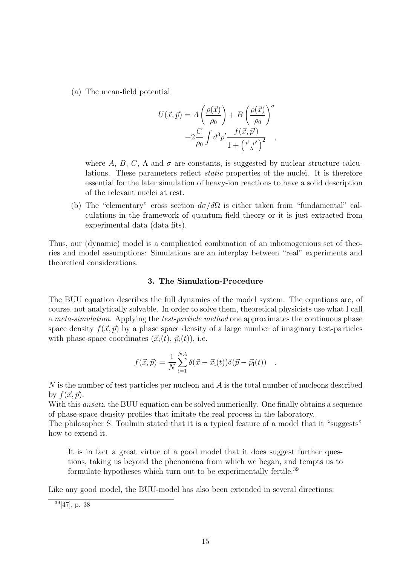(a) The mean-field potential

$$
U(\vec{x}, \vec{p}) = A\left(\frac{\rho(\vec{x})}{\rho_0}\right) + B\left(\frac{\rho(\vec{x})}{\rho_0}\right)^{\sigma}
$$

$$
+ 2\frac{C}{\rho_0} \int d^3p' \frac{f(\vec{x}, \vec{p}')}{1 + (\frac{\vec{p} - \vec{p}'}{\Lambda})^2} ,
$$

where A, B, C,  $\Lambda$  and  $\sigma$  are constants, is suggested by nuclear structure calculations. These parameters reflect static properties of the nuclei. It is therefore essential for the later simulation of heavy-ion reactions to have a solid description of the relevant nuclei at rest.

(b) The "elementary" cross section  $d\sigma/d\Omega$  is either taken from "fundamental" calculations in the framework of quantum field theory or it is just extracted from experimental data (data fits).

Thus, our (dynamic) model is a complicated combination of an inhomogenious set of theories and model assumptions: Simulations are an interplay between "real" experiments and theoretical considerations.

#### 3. The Simulation-Procedure

The BUU equation describes the full dynamics of the model system. The equations are, of course, not analytically solvable. In order to solve them, theoretical physicists use what I call a meta-simulation. Applying the test-particle method one approximates the continuous phase space density  $f(\vec{x}, \vec{p})$  by a phase space density of a large number of imaginary test-particles with phase-space coordinates  $(\vec{x}_i(t), \vec{p}_i(t))$ , i.e.

$$
f(\vec{x}, \vec{p}) = \frac{1}{N} \sum_{i=1}^{NA} \delta(\vec{x} - \vec{x}_i(t)) \delta(\vec{p} - \vec{p}_i(t)) .
$$

 $N$  is the number of test particles per nucleon and  $A$  is the total number of nucleons described by  $f(\vec{x}, \vec{p})$ .

With this *ansatz*, the BUU equation can be solved numerically. One finally obtains a sequence of phase-space density profiles that imitate the real process in the laboratory.

The philosopher S. Toulmin stated that it is a typical feature of a model that it "suggests" how to extend it.

It is in fact a great virtue of a good model that it does suggest further questions, taking us beyond the phenomena from which we began, and tempts us to formulate hypotheses which turn out to be experimentally fertile.<sup>39</sup>

Like any good model, the BUU-model has also been extended in several directions:

 $39[47]$ , p. 38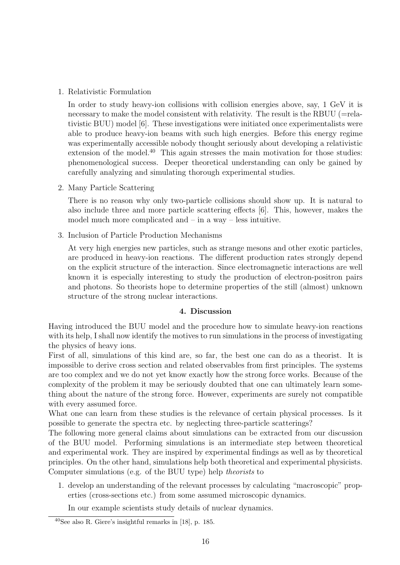## 1. Relativistic Formulation

In order to study heavy-ion collisions with collision energies above, say, 1 GeV it is necessary to make the model consistent with relativity. The result is the RBUU (=relativistic BUU) model [6]. These investigations were initiated once experimentalists were able to produce heavy-ion beams with such high energies. Before this energy regime was experimentally accessible nobody thought seriously about developing a relativistic extension of the model.<sup>40</sup> This again stresses the main motivation for those studies: phenomenological success. Deeper theoretical understanding can only be gained by carefully analyzing and simulating thorough experimental studies.

2. Many Particle Scattering

There is no reason why only two-particle collisions should show up. It is natural to also include three and more particle scattering effects [6]. This, however, makes the model much more complicated and – in a way – less intuitive.

3. Inclusion of Particle Production Mechanisms

At very high energies new particles, such as strange mesons and other exotic particles, are produced in heavy-ion reactions. The different production rates strongly depend on the explicit structure of the interaction. Since electromagnetic interactions are well known it is especially interesting to study the production of electron-positron pairs and photons. So theorists hope to determine properties of the still (almost) unknown structure of the strong nuclear interactions.

## 4. Discussion

Having introduced the BUU model and the procedure how to simulate heavy-ion reactions with its help, I shall now identify the motives to run simulations in the process of investigating the physics of heavy ions.

First of all, simulations of this kind are, so far, the best one can do as a theorist. It is impossible to derive cross section and related observables from first principles. The systems are too complex and we do not yet know exactly how the strong force works. Because of the complexity of the problem it may be seriously doubted that one can ultimately learn something about the nature of the strong force. However, experiments are surely not compatible with every assumed force.

What one can learn from these studies is the relevance of certain physical processes. Is it possible to generate the spectra etc. by neglecting three-particle scatterings?

The following more general claims about simulations can be extracted from our discussion of the BUU model. Performing simulations is an intermediate step between theoretical and experimental work. They are inspired by experimental findings as well as by theoretical principles. On the other hand, simulations help both theoretical and experimental physicists. Computer simulations (e.g. of the BUU type) help theorists to

1. develop an understanding of the relevant processes by calculating "macroscopic" properties (cross-sections etc.) from some assumed microscopic dynamics.

In our example scientists study details of nuclear dynamics.

<sup>40</sup>See also R. Giere's insightful remarks in [18], p. 185.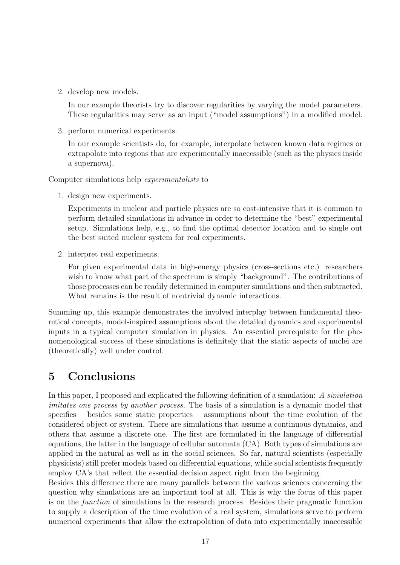2. develop new models.

In our example theorists try to discover regularities by varying the model parameters. These regularities may serve as an input ("model assumptions") in a modified model.

3. perform numerical experiments.

In our example scientists do, for example, interpolate between known data regimes or extrapolate into regions that are experimentally inaccessible (such as the physics inside a supernova).

Computer simulations help experimentalists to

1. design new experiments.

Experiments in nuclear and particle physics are so cost-intensive that it is common to perform detailed simulations in advance in order to determine the "best" experimental setup. Simulations help, e.g., to find the optimal detector location and to single out the best suited nuclear system for real experiments.

2. interpret real experiments.

For given experimental data in high-energy physics (cross-sections etc.) researchers wish to know what part of the spectrum is simply "background". The contributions of those processes can be readily determined in computer simulations and then subtracted. What remains is the result of nontrivial dynamic interactions.

Summing up, this example demonstrates the involved interplay between fundamental theoretical concepts, model-inspired assumptions about the detailed dynamics and experimental inputs in a typical computer simulation in physics. An essential prerequisite for the phenomenological success of these simulations is definitely that the static aspects of nuclei are (theoretically) well under control.

# 5 Conclusions

In this paper, I proposed and explicated the following definition of a simulation: A simulation imitates one process by another process. The basis of a simulation is a dynamic model that specifies – besides some static properties – assumptions about the time evolution of the considered object or system. There are simulations that assume a continuous dynamics, and others that assume a discrete one. The first are formulated in the language of differential equations, the latter in the language of cellular automata (CA). Both types of simulations are applied in the natural as well as in the social sciences. So far, natural scientists (especially physicists) still prefer models based on differential equations, while social scientists frequently employ CA's that reflect the essential decision aspect right from the beginning.

Besides this difference there are many parallels between the various sciences concerning the question why simulations are an important tool at all. This is why the focus of this paper is on the function of simulations in the research process. Besides their pragmatic function to supply a description of the time evolution of a real system, simulations serve to perform numerical experiments that allow the extrapolation of data into experimentally inaccessible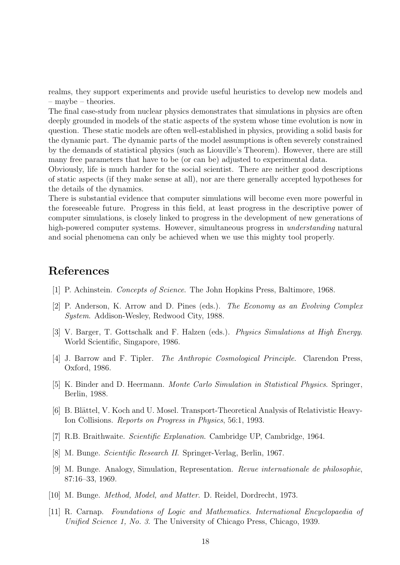realms, they support experiments and provide useful heuristics to develop new models and – maybe – theories.

The final case-study from nuclear physics demonstrates that simulations in physics are often deeply grounded in models of the static aspects of the system whose time evolution is now in question. These static models are often well-established in physics, providing a solid basis for the dynamic part. The dynamic parts of the model assumptions is often severely constrained by the demands of statistical physics (such as Liouville's Theorem). However, there are still many free parameters that have to be (or can be) adjusted to experimental data.

Obviously, life is much harder for the social scientist. There are neither good descriptions of static aspects (if they make sense at all), nor are there generally accepted hypotheses for the details of the dynamics.

There is substantial evidence that computer simulations will become even more powerful in the foreseeable future. Progress in this field, at least progress in the descriptive power of computer simulations, is closely linked to progress in the development of new generations of high-powered computer systems. However, simultaneous progress in *understanding* natural and social phenomena can only be achieved when we use this mighty tool properly.

# References

- [1] P. Achinstein. Concepts of Science. The John Hopkins Press, Baltimore, 1968.
- [2] P. Anderson, K. Arrow and D. Pines (eds.). The Economy as an Evolving Complex System. Addison-Wesley, Redwood City, 1988.
- [3] V. Barger, T. Gottschalk and F. Halzen (eds.). Physics Simulations at High Energy. World Scientific, Singapore, 1986.
- [4] J. Barrow and F. Tipler. The Anthropic Cosmological Principle. Clarendon Press, Oxford, 1986.
- [5] K. Binder and D. Heermann. Monte Carlo Simulation in Statistical Physics. Springer, Berlin, 1988.
- [6] B. Blättel, V. Koch and U. Mosel. Transport-Theoretical Analysis of Relativistic Heavy-Ion Collisions. Reports on Progress in Physics, 56:1, 1993.
- [7] R.B. Braithwaite. Scientific Explanation. Cambridge UP, Cambridge, 1964.
- [8] M. Bunge. Scientific Research II. Springer-Verlag, Berlin, 1967.
- [9] M. Bunge. Analogy, Simulation, Representation. Revue internationale de philosophie, 87:16–33, 1969.
- [10] M. Bunge. Method, Model, and Matter. D. Reidel, Dordrecht, 1973.
- [11] R. Carnap. Foundations of Logic and Mathematics. International Encyclopaedia of Unified Science 1, No. 3. The University of Chicago Press, Chicago, 1939.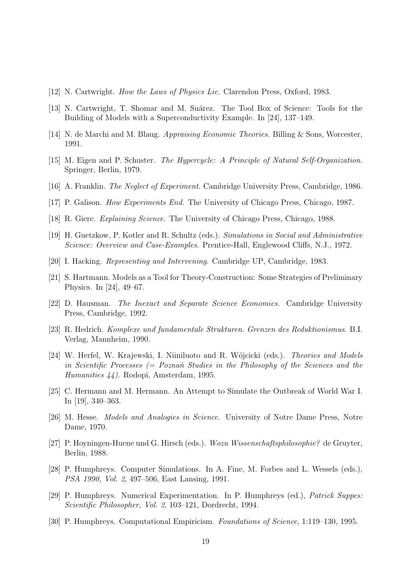- [12] N. Cartwright. How the Laws of Physics Lie. Clarendon Press, Oxford, 1983.
- [13] N. Cartwright, T. Shomar and M. Suárez. The Tool Box of Science: Tools for the Building of Models with a Superconductivity Example. In [24], 137–149.
- [14] N. de Marchi and M. Blaug. Appraising Economic Theories. Billing & Sons, Worcester, 1991.
- [15] M. Eigen and P. Schuster. The Hypercycle: A Principle of Natural Self-Organization. Springer, Berlin, 1979.
- [16] A. Franklin. The Neglect of Experiment. Cambridge University Press, Cambridge, 1986.
- [17] P. Galison. How Experiments End. The University of Chicago Press, Chicago, 1987.
- [18] R. Giere. Explaining Science. The University of Chicago Press, Chicago, 1988.
- [19] H. Guetzkow, P. Kotler and R. Schultz (eds.). Simulations in Social and Administrative Science: Overview and Case-Examples. Prentice-Hall, Englewood Cliffs, N.J., 1972.
- [20] I. Hacking. Representing and Intervening. Cambridge UP, Cambridge, 1983.
- [21] S. Hartmann. Models as a Tool for Theory-Construction: Some Strategies of Preliminary Physics. In [24], 49–67.
- [22] D. Hausman. The Inexact and Separate Science Economics. Cambridge University Press, Cambridge, 1992.
- [23] R. Hedrich. Komplexe und fundamentale Strukturen. Grenzen des Reduktionismus. B.I. Verlag, Mannheim, 1990.
- [24] W. Herfel, W. Krajewski, I. Niiniluoto and R. Wójcicki (eds.). *Theories and Models* in Scientific Processes  $(= Pozna\hat{n}$  Studies in the Philosophy of the Sciences and the Humanities 44). Rodopi, Amsterdam, 1995.
- [25] C. Hermann and M. Hermann. An Attempt to Simulate the Outbreak of World War I. In [19], 340–363.
- [26] M. Hesse. Models and Analogies in Science. University of Notre Dame Press, Notre Dame, 1970.
- [27] P. Hoyningen-Huene und G. Hirsch (eds.). Wozu Wissenschaftsphilosophie? de Gruyter, Berlin, 1988.
- [28] P. Humphreys. Computer Simulations. In A. Fine, M. Forbes and L. Wessels (eds.), PSA 1990, Vol. 2, 497–506, East Lansing, 1991.
- [29] P. Humphreys. Numerical Experimentation. In P. Humphreys (ed.), Patrick Suppes: Scientific Philosopher, Vol. 2, 103–121, Dordrecht, 1994.
- [30] P. Humphreys. Computational Empiricism. Foundations of Science, 1:119–130, 1995.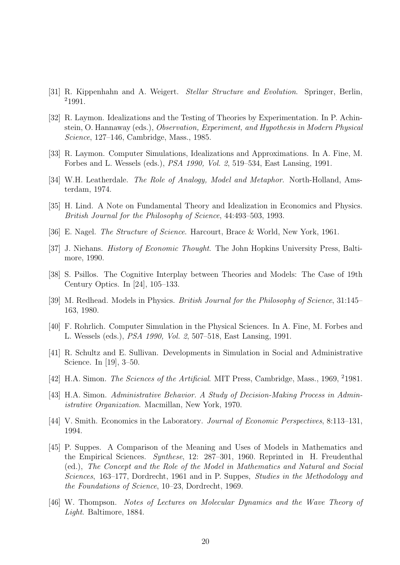- [31] R. Kippenhahn and A. Weigert. Stellar Structure and Evolution. Springer, Berlin, <sup>2</sup>1991.
- [32] R. Laymon. Idealizations and the Testing of Theories by Experimentation. In P. Achinstein, O. Hannaway (eds.), Observation, Experiment, and Hypothesis in Modern Physical Science, 127–146, Cambridge, Mass., 1985.
- [33] R. Laymon. Computer Simulations, Idealizations and Approximations. In A. Fine, M. Forbes and L. Wessels (eds.), PSA 1990, Vol. 2, 519–534, East Lansing, 1991.
- [34] W.H. Leatherdale. *The Role of Analogy, Model and Metaphor.* North-Holland, Amsterdam, 1974.
- [35] H. Lind. A Note on Fundamental Theory and Idealization in Economics and Physics. British Journal for the Philosophy of Science, 44:493–503, 1993.
- [36] E. Nagel. The Structure of Science. Harcourt, Brace & World, New York, 1961.
- [37] J. Niehans. *History of Economic Thought*. The John Hopkins University Press, Baltimore, 1990.
- [38] S. Psillos. The Cognitive Interplay between Theories and Models: The Case of 19th Century Optics. In [24], 105–133.
- [39] M. Redhead. Models in Physics. British Journal for the Philosophy of Science, 31:145– 163, 1980.
- [40] F. Rohrlich. Computer Simulation in the Physical Sciences. In A. Fine, M. Forbes and L. Wessels (eds.), PSA 1990, Vol. 2, 507–518, East Lansing, 1991.
- [41] R. Schultz and E. Sullivan. Developments in Simulation in Social and Administrative Science. In [19], 3–50.
- [42] H.A. Simon. *The Sciences of the Artificial*. MIT Press, Cambridge, Mass., 1969, <sup>2</sup>1981.
- [43] H.A. Simon. Administrative Behavior. A Study of Decision-Making Process in Administrative Organization. Macmillan, New York, 1970.
- [44] V. Smith. Economics in the Laboratory. Journal of Economic Perspectives, 8:113–131, 1994.
- [45] P. Suppes. A Comparison of the Meaning and Uses of Models in Mathematics and the Empirical Sciences. Synthese, 12: 287–301, 1960. Reprinted in H. Freudenthal (ed.), The Concept and the Role of the Model in Mathematics and Natural and Social Sciences, 163–177, Dordrecht, 1961 and in P. Suppes, Studies in the Methodology and the Foundations of Science, 10–23, Dordrecht, 1969.
- [46] W. Thompson. Notes of Lectures on Molecular Dynamics and the Wave Theory of Light. Baltimore, 1884.